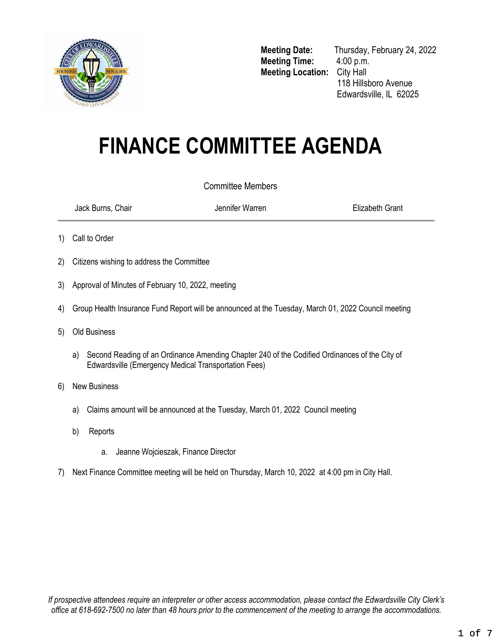

**Meeting Time:** 4:00 p.m. **Meeting Location:** City Hall

**Meeting Date:** Thursday, February 24, 2022 118 Hillsboro Avenue Edwardsville, IL 62025

# **FINANCE COMMITTEE AGENDA**

# Committee Members

Jack Burns, Chair Jennifer Warren Elizabeth Grant

- 1) Call to Order
- 2) Citizens wishing to address the Committee
- 3) Approval of Minutes of February 10, 2022, meeting
- 4) Group Health Insurance Fund Report will be announced at the Tuesday, March 01, 2022 Council meeting
- 5) Old Business
	- a) Second Reading of an Ordinance Amending Chapter 240 of the Codified Ordinances of the City of Edwardsville (Emergency Medical Transportation Fees)
- 6) New Business
	- a) Claims amount will be announced at the Tuesday, March 01, 2022 Council meeting
	- b) Reports
		- a. Jeanne Wojcieszak, Finance Director
- <span id="page-0-0"></span>7) Next Finance Committee meeting will be held on Thursday, March 10, 2022 at 4:00 pm in City Hall.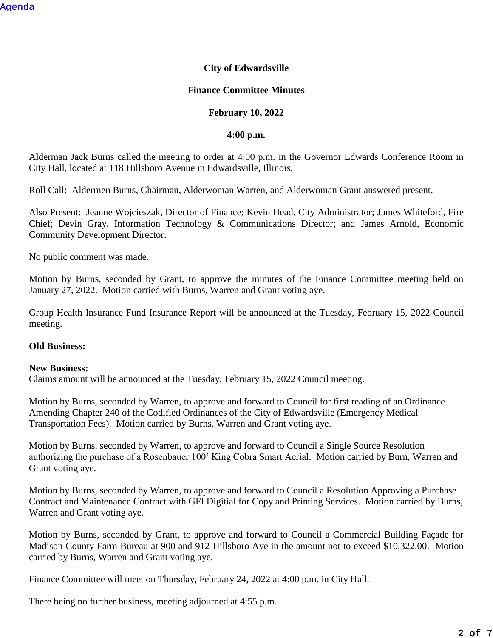## **City of Edwardsville**

## **Finance Committee Minutes**

## **February 10, 2022**

#### **4:00 p.m.**

Alderman Jack Burns called the meeting to order at 4:00 p.m. in the Governor Edwards Conference Room in City Hall, located at 118 Hillsboro Avenue in Edwardsville, Illinois.

Roll Call: Aldermen Burns, Chairman, Alderwoman Warren, and Alderwoman Grant answered present.

Also Present: Jeanne Wojcieszak, Director of Finance; Kevin Head, City Administrator; James Whiteford, Fire Chief; Devin Gray, Information Technology & Communications Director; and James Arnold, Economic Community Development Director.

No public comment was made.

Motion by Burns, seconded by Grant, to approve the minutes of the Finance Committee meeting held on January 27, 2022. Motion carried with Burns, Warren and Grant voting aye.

Group Health Insurance Fund Insurance Report will be announced at the Tuesday, February 15, 2022 Council meeting.

## **Old Business:**

#### **New Business:**

Claims amount will be announced at the Tuesday, February 15, 2022 Council meeting.

Motion by Burns, seconded by Warren, to approve and forward to Council for first reading of an Ordinance Amending Chapter 240 of the Codified Ordinances of the City of Edwardsville (Emergency Medical Transportation Fees). Motion carried by Burns, Warren and Grant voting aye.

Motion by Burns, seconded by Warren, to approve and forward to Council a Single Source Resolution authorizing the purchase of a Rosenbauer 100' King Cobra Smart Aerial. Motion carried by Burn, Warren and Grant voting aye.

Motion by Burns, seconded by Warren, to approve and forward to Council a Resolution Approving a Purchase Contract and Maintenance Contract with GFI Digitial for Copy and Printing Services. Motion carried by Burns, Warren and Grant voting aye.

Motion by Burns, seconded by Grant, to approve and forward to Council a Commercial Building Façade for Madison County Farm Bureau at 900 and 912 Hillsboro Ave in the amount not to exceed \$10,322.00. Motion carried by Burns, Warren and Grant voting aye.

Finance Committee will meet on Thursday, February 24, 2022 at 4:00 p.m. in City Hall.

There being no further business, meeting adjourned at 4:55 p.m.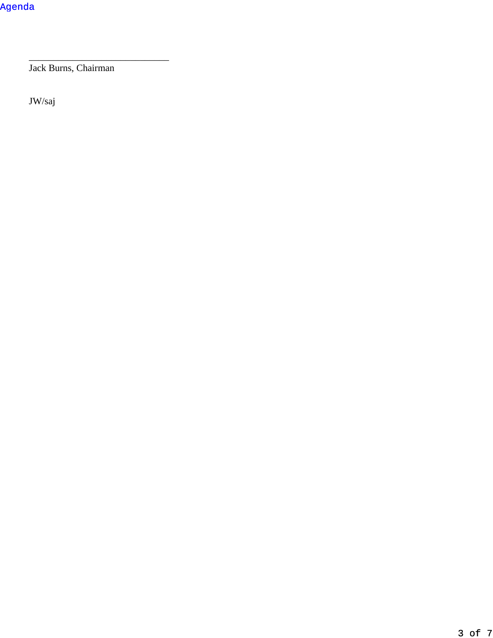Jack Burns, Chairman

\_\_\_\_\_\_\_\_\_\_\_\_\_\_\_\_\_\_\_\_\_\_\_\_\_\_\_\_\_

JW/saj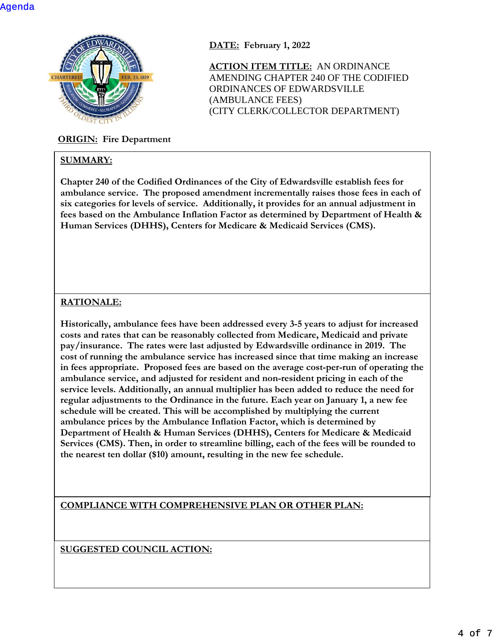

# **ORIGIN: Fire Department**

# **SUMMARY:**

**DATE: February 1, 2022**

**ACTION ITEM TITLE:** AN ORDINANCE AMENDING CHAPTER 240 OF THE CODIFIED ORDINANCES OF EDWARDSVILLE (AMBULANCE FEES) (CITY CLERK/COLLECTOR DEPARTMENT)

**Chapter 240 of the Codified Ordinances of the City of Edwardsville establish fees for ambulance service. The proposed amendment incrementally raises those fees in each of six categories for levels of service. Additionally, it provides for an annual adjustment in fees based on the Ambulance Inflation Factor as determined by Department of Health & Human Services (DHHS), Centers for Medicare & Medicaid Services (CMS).**

# **RATIONALE:**

**Historically, ambulance fees have been addressed every 3-5 years to adjust for increased costs and rates that can be reasonably collected from Medicare, Medicaid and private pay/insurance. The rates were last adjusted by Edwardsville ordinance in 2019. The cost of running the ambulance service has increased since that time making an increase in fees appropriate. Proposed fees are based on the average cost-per-run of operating the ambulance service, and adjusted for resident and non-resident pricing in each of the service levels. Additionally, an annual multiplier has been added to reduce the need for regular adjustments to the Ordinance in the future. Each year on January 1, a new fee schedule will be created. This will be accomplished by multiplying the current ambulance prices by the Ambulance Inflation Factor, which is determined by Department of Health & Human Services (DHHS), Centers for Medicare & Medicaid Services (CMS). Then, in order to streamline billing, each of the fees will be rounded to the nearest ten dollar (\$10) amount, resulting in the new fee schedule.**

**COMPLIANCE WITH COMPREHENSIVE PLAN OR OTHER PLAN:**

**SUGGESTED COUNCIL ACTION:**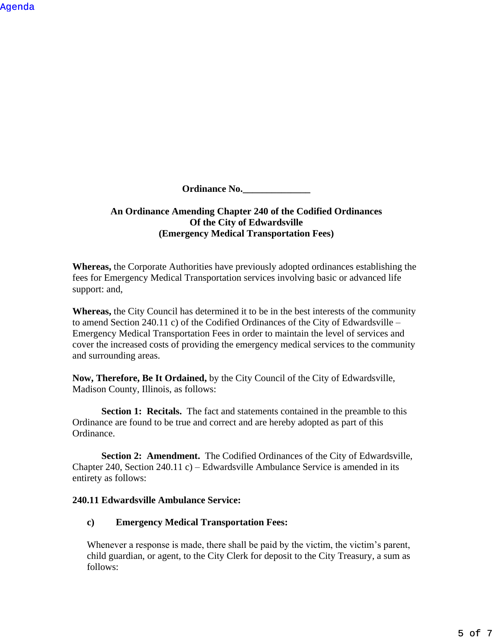[Agenda](#page-0-0)

**Ordinance No.** 

# **An Ordinance Amending Chapter 240 of the Codified Ordinances Of the City of Edwardsville (Emergency Medical Transportation Fees)**

**Whereas,** the Corporate Authorities have previously adopted ordinances establishing the fees for Emergency Medical Transportation services involving basic or advanced life support: and,

**Whereas,** the City Council has determined it to be in the best interests of the community to amend Section 240.11 c) of the Codified Ordinances of the City of Edwardsville – Emergency Medical Transportation Fees in order to maintain the level of services and cover the increased costs of providing the emergency medical services to the community and surrounding areas.

**Now, Therefore, Be It Ordained,** by the City Council of the City of Edwardsville, Madison County, Illinois, as follows:

**Section 1: Recitals.** The fact and statements contained in the preamble to this Ordinance are found to be true and correct and are hereby adopted as part of this Ordinance.

**Section 2: Amendment.** The Codified Ordinances of the City of Edwardsville, Chapter 240, Section 240.11 c) – Edwardsville Ambulance Service is amended in its entirety as follows:

## **240.11 Edwardsville Ambulance Service:**

# **c) Emergency Medical Transportation Fees:**

Whenever a response is made, there shall be paid by the victim, the victim's parent, child guardian, or agent, to the City Clerk for deposit to the City Treasury, a sum as follows: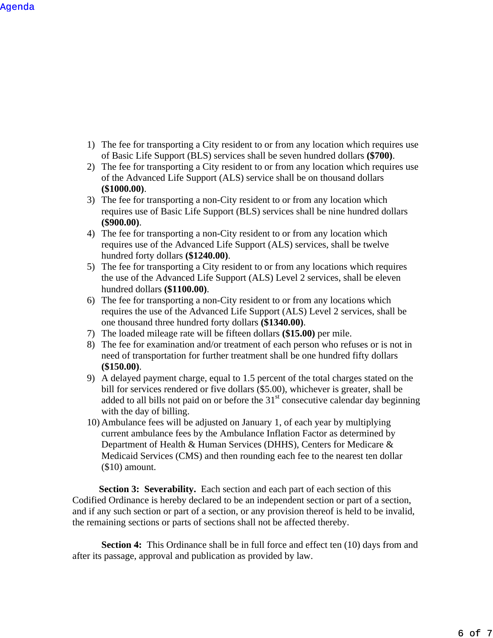- 1) The fee for transporting a City resident to or from any location which requires use of Basic Life Support (BLS) services shall be seven hundred dollars **(\$700)**.
- 2) The fee for transporting a City resident to or from any location which requires use of the Advanced Life Support (ALS) service shall be on thousand dollars **(\$1000.00)**.
- 3) The fee for transporting a non-City resident to or from any location which requires use of Basic Life Support (BLS) services shall be nine hundred dollars **(\$900.00)**.
- 4) The fee for transporting a non-City resident to or from any location which requires use of the Advanced Life Support (ALS) services, shall be twelve hundred forty dollars **(\$1240.00)**.
- 5) The fee for transporting a City resident to or from any locations which requires the use of the Advanced Life Support (ALS) Level 2 services, shall be eleven hundred dollars **(\$1100.00)**.
- 6) The fee for transporting a non-City resident to or from any locations which requires the use of the Advanced Life Support (ALS) Level 2 services, shall be one thousand three hundred forty dollars **(\$1340.00)**.
- 7) The loaded mileage rate will be fifteen dollars **(\$15.00)** per mile.
- 8) The fee for examination and/or treatment of each person who refuses or is not in need of transportation for further treatment shall be one hundred fifty dollars **(\$150.00)**.
- 9) A delayed payment charge, equal to 1.5 percent of the total charges stated on the bill for services rendered or five dollars (\$5.00), whichever is greater, shall be added to all bills not paid on or before the  $31<sup>st</sup>$  consecutive calendar day beginning with the day of billing.
- 10) Ambulance fees will be adjusted on January 1, of each year by multiplying current ambulance fees by the Ambulance Inflation Factor as determined by Department of Health & Human Services (DHHS), Centers for Medicare & Medicaid Services (CMS) and then rounding each fee to the nearest ten dollar (\$10) amount.

**Section 3: Severability.** Each section and each part of each section of this Codified Ordinance is hereby declared to be an independent section or part of a section, and if any such section or part of a section, or any provision thereof is held to be invalid, the remaining sections or parts of sections shall not be affected thereby.

**Section 4:** This Ordinance shall be in full force and effect ten (10) days from and after its passage, approval and publication as provided by law.